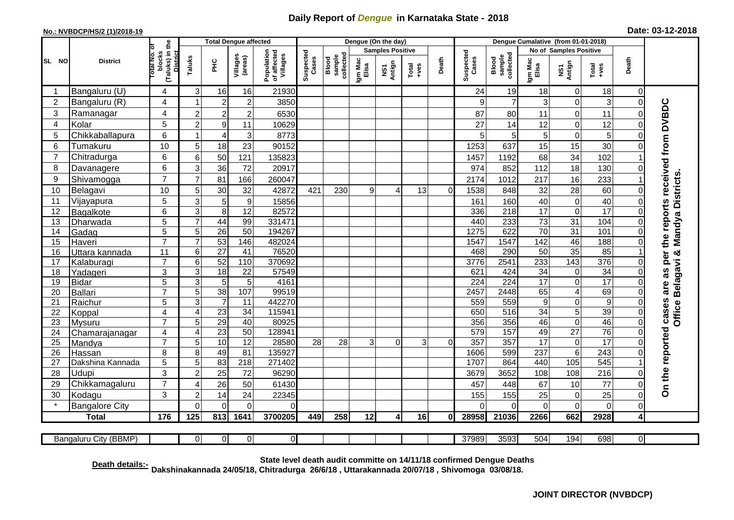## **Daily Report of** *Dengue* **in Karnataka State - 2018**

## **No.: NVBDCP/HS/2 (1)/2018-19 Date: 03-12-2018**

|                | <b>District</b>                                                                                                                                                                       |                                                    | <b>Total Dengue affected</b> |                  |                           |                                       |                    |                              |                         | Dengue (On the day) |               |          |                    |                              |                        |                                         |                         |                |                                 |
|----------------|---------------------------------------------------------------------------------------------------------------------------------------------------------------------------------------|----------------------------------------------------|------------------------------|------------------|---------------------------|---------------------------------------|--------------------|------------------------------|-------------------------|---------------------|---------------|----------|--------------------|------------------------------|------------------------|-----------------------------------------|-------------------------|----------------|---------------------------------|
| SL NO          |                                                                                                                                                                                       | Гō                                                 |                              |                  |                           |                                       |                    |                              | <b>Samples Positive</b> |                     |               |          |                    |                              | No of Samples Positive |                                         |                         |                |                                 |
|                |                                                                                                                                                                                       | (Taluks) in the<br>District<br>blocks<br>lotal No. | Taluks                       | $\frac{C}{E}$    | Villages<br>(areas)       | Population<br>of affected<br>Villages | Suspected<br>Cases | Blood<br>sample<br>collected | Igm Mac<br>Elisa        | NS1<br>Antign       | Total<br>+ves | Death    | Suspected<br>Cases | Blood<br>sample<br>collected | Igm Mac<br>Elisa       | Death<br>NS1<br>Antign<br>Total<br>+ves |                         |                |                                 |
| $\mathbf 1$    | Bangaluru (U)                                                                                                                                                                         | 4                                                  | 3                            | 16               | 16                        | 21930                                 |                    |                              |                         |                     |               |          | 24                 | 19                           | 18                     | 0                                       | 18                      | 0              |                                 |
| $\overline{2}$ | Bangaluru (R)                                                                                                                                                                         | 4                                                  | $\overline{\mathbf{1}}$      | $\overline{c}$   | $\overline{\mathbf{c}}$   | 3850                                  |                    |                              |                         |                     |               |          | 9                  | $\overline{7}$               | 3                      | 0                                       | 3                       | $\Omega$       |                                 |
| 3              | Ramanagar                                                                                                                                                                             | 4                                                  | $\overline{2}$               | $\overline{2}$   | $\overline{c}$            | 6530                                  |                    |                              |                         |                     |               |          | 87                 | 80                           | 11                     | 0                                       | 11                      | $\Omega$       | the reports received from DVBDC |
| $\overline{4}$ | Kolar                                                                                                                                                                                 | 5                                                  | $\overline{2}$               | $\boldsymbol{9}$ | 11                        | 10629                                 |                    |                              |                         |                     |               |          | 27                 | 14                           | 12                     | $\mathbf 0$                             | 12                      | $\Omega$       |                                 |
| 5              | Chikkaballapura                                                                                                                                                                       | 6                                                  | -1                           | $\overline{4}$   | $\ensuremath{\mathsf{3}}$ | 8773                                  |                    |                              |                         |                     |               |          | 5                  | 5                            | 5 <sup>1</sup>         | $\mathbf 0$                             | 5                       | $\Omega$       |                                 |
| 6              | Tumakuru                                                                                                                                                                              | 10                                                 | 5                            | 18               | 23                        | 90152                                 |                    |                              |                         |                     |               |          | 1253               | 637                          | 15                     | 15                                      | 30                      | $\Omega$       |                                 |
| $\overline{7}$ | Chitradurga                                                                                                                                                                           | 6                                                  | 6                            | 50               | 121                       | 135823                                |                    |                              |                         |                     |               |          | 1457               | 1192                         | 68                     | 34                                      | 102                     |                |                                 |
| 8              | Davanagere                                                                                                                                                                            | 6                                                  | 3                            | 36               | 72                        | 20917                                 |                    |                              |                         |                     |               |          | 974                | 852                          | 112                    | 18                                      | 130                     |                |                                 |
| 9              | Shivamogga                                                                                                                                                                            | $\overline{7}$                                     | $\overline{7}$               | 81               | 166                       | 260047                                |                    |                              |                         |                     |               |          | 2174               | 1012                         | 217                    | 16                                      | 233                     |                | Mandya Districts                |
| 10             | Belagavi                                                                                                                                                                              | 10                                                 | 5                            | 30               | 32                        | 42872                                 | 421                | 230                          | 9                       | 4                   | 13            | 0        | 1538               | 848                          | 32                     | 28                                      | 60                      | 0              |                                 |
| 11             | Vijayapura                                                                                                                                                                            | 5                                                  | 3                            | 5                | $\boldsymbol{9}$          | 15856                                 |                    |                              |                         |                     |               |          | 161                | 160                          | 40                     | $\mathbf 0$                             | 40                      | $\Omega$       |                                 |
| 12             | Bagalkote                                                                                                                                                                             | 6                                                  | $\overline{3}$               | $\overline{8}$   | 12                        | 82572                                 |                    |                              |                         |                     |               |          | 336                | 218                          | 17                     | $\overline{\mathsf{o}}$                 | 17                      | $\mathbf 0$    |                                 |
| 13             | Dharwada                                                                                                                                                                              | $\overline{5}$                                     | $\overline{7}$               | 44               | 99                        | 331471                                |                    |                              |                         |                     |               |          | 440                | 233                          | $\overline{73}$        | 31                                      | 104                     | $\Omega$       |                                 |
| 14             | Gadag                                                                                                                                                                                 | 5                                                  | 5                            | 26               | 50                        | 194267                                |                    |                              |                         |                     |               |          | 1275               | 622                          | $\overline{70}$        | 31                                      | 101                     |                |                                 |
| 15             | Haveri                                                                                                                                                                                | $\overline{7}$                                     | $\overline{7}$               | 53               | 146                       | 482024                                |                    |                              |                         |                     |               |          | 1547               | 1547                         | 142                    | 46                                      | 188                     | $\Omega$       |                                 |
| 16             | Uttara kannada                                                                                                                                                                        | 11                                                 | 6                            | $\overline{27}$  | 41                        | 76520                                 |                    |                              |                         |                     |               |          | 468                | 290                          | 50                     | 35                                      | 85                      |                | න්                              |
| 17             | Kalaburagi                                                                                                                                                                            | $\overline{7}$                                     | 6                            | 52               | 110                       | 370692                                |                    |                              |                         |                     |               |          | 3776               | 2541                         | 233                    | 143                                     | 376                     | $\Omega$       | are as per<br>Belagavi          |
| 18             | Yadageri                                                                                                                                                                              | 3                                                  | 3                            | $\overline{18}$  | 22                        | 57549                                 |                    |                              |                         |                     |               |          | 621                | 424                          | 34                     | $\pmb{0}$                               | $\overline{34}$         | $\Omega$       |                                 |
| 19             | <b>Bidar</b>                                                                                                                                                                          | 5                                                  | $\overline{3}$               | $\overline{5}$   | 5                         | 4161                                  |                    |                              |                         |                     |               |          | $\overline{224}$   | 224                          | 17                     | $\overline{0}$                          | 17                      | $\mathbf 0$    |                                 |
| 20             | Ballari                                                                                                                                                                               | $\overline{7}$                                     | $\overline{5}$               | 38               | 107                       | 99519                                 |                    |                              |                         |                     |               |          | 2457               | 2448                         | 65                     | 4                                       | 69                      | $\Omega$       |                                 |
| 21             | Raichur                                                                                                                                                                               | 5                                                  | 3                            | $\overline{7}$   | 11                        | 442270                                |                    |                              |                         |                     |               |          | 559                | 559                          | 9                      | 0                                       | 9                       | $\Omega$       |                                 |
| 22             | Koppal                                                                                                                                                                                | 4                                                  | $\overline{4}$               | 23               | 34                        | 115941                                |                    |                              |                         |                     |               |          | 650                | 516                          | 34                     | $\overline{5}$                          | 39                      | $\overline{0}$ | Office                          |
| 23             | Mysuru                                                                                                                                                                                | $\overline{7}$                                     | $\overline{5}$               | 29               | 40                        | 80925                                 |                    |                              |                         |                     |               |          | 356                | 356                          | 46                     | $\overline{0}$                          | 46                      | $\overline{0}$ |                                 |
| 24             | Chamarajanagar                                                                                                                                                                        | 4                                                  | $\overline{4}$               | $\overline{23}$  | $\overline{50}$           | 128941                                |                    |                              |                         |                     |               |          | 579                | 157                          | 49                     | $\overline{27}$                         | $\overline{76}$         | $\mathbf 0$    |                                 |
| 25             | Mandya                                                                                                                                                                                | $\overline{7}$                                     | 5                            | 10               | 12                        | 28580                                 | 28                 | 28                           | 3                       | $\Omega$            | 3             | $\Omega$ | 357                | 357                          | $\overline{17}$        | $\mathbf 0$                             | 17                      | $\Omega$       |                                 |
| 26             | Hassan                                                                                                                                                                                | 8                                                  | 8                            | 49               | 81                        | 135927                                |                    |                              |                         |                     |               |          | 1606<br>1707       | 599<br>864                   | 237                    | $\,6$<br>105                            | $\overline{243}$<br>545 | $\mathbf 0$    |                                 |
| 27             | Dakshina Kannada                                                                                                                                                                      | 5                                                  | 5                            | 83               | 218                       | 271402                                |                    |                              |                         |                     |               |          |                    |                              | 440                    |                                         |                         |                |                                 |
| 28             | Udupi                                                                                                                                                                                 | 3                                                  | $\overline{2}$               | 25               | 72                        | 96290                                 |                    |                              |                         |                     |               |          | 3679               | 3652                         | 108                    | 108                                     | 216                     | ∩              | On the reported cases           |
| 29             | Chikkamagaluru                                                                                                                                                                        | $\overline{7}$                                     | $\overline{4}$               | 26               | 50                        | 61430                                 |                    |                              |                         |                     |               |          | 457                | 448                          | 67                     | 10                                      | 77                      | $\Omega$       |                                 |
| 30             | Kodagu                                                                                                                                                                                | 3                                                  | $\overline{2}$               | 14               | 24                        | 22345                                 |                    |                              |                         |                     |               |          | 155                | 155                          | 25                     | 0                                       | 25                      | $\Omega$       |                                 |
|                | <b>Bangalore City</b>                                                                                                                                                                 |                                                    | $\overline{0}$               | $\overline{0}$   | $\overline{0}$            | $\Omega$                              |                    |                              |                         |                     |               |          | $\Omega$           | $\Omega$                     | $\overline{0}$         | $\pmb{0}$                               | $\mathsf 0$             | $\mathbf 0$    |                                 |
|                | <b>Total</b>                                                                                                                                                                          | 176                                                | 125                          | 813              | 1641                      | 3700205                               | 449                | 258                          | 12                      | 4                   | 16            | $\bf{0}$ | 28958              | 21036                        | 2266                   | 662                                     | 2928                    | 4              |                                 |
|                | Bangaluru City (BBMP)                                                                                                                                                                 |                                                    | $\Omega$                     | $\Omega$         | 0                         | $\Omega$                              |                    |                              |                         |                     |               |          | 37989              | 3593                         | 504                    | 194                                     | 698                     | 0              |                                 |
|                | State level death audit committe on 14/11/18 confirmed Dengue Deaths<br>Death details:-<br>Dakshinakannada 24/05/18, Chitradurga 26/6/18, Uttarakannada 20/07/18, Shivomoga 03/08/18. |                                                    |                              |                  |                           |                                       |                    |                              |                         |                     |               |          |                    |                              |                        |                                         |                         |                |                                 |